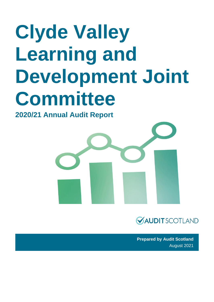# **Clyde Valley Learning and Development Joint Committee**

### **2020/21 Annual Audit Report**





**Prepared by Audit Scotland** August 2021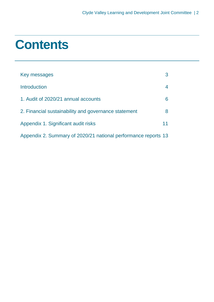### **Contents**

| Key messages                                                   | 3  |
|----------------------------------------------------------------|----|
| <b>Introduction</b>                                            | 4  |
| 1. Audit of 2020/21 annual accounts                            | 6  |
| 2. Financial sustainability and governance statement           | 8  |
| Appendix 1. Significant audit risks                            | 11 |
| Appendix 2. Summary of 2020/21 national performance reports 13 |    |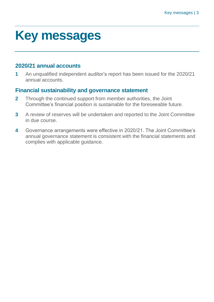## <span id="page-2-0"></span>**Key messages**

#### **2020/21 annual accounts**

**1** An unqualified independent auditor's report has been issued for the 2020/21 annual accounts.

#### **Financial sustainability and governance statement**

- **2** Through the continued support from member authorities, the Joint Committee's financial position is sustainable for the foreseeable future.
- **3** A review of reserves will be undertaken and reported to the Joint Committee in due course.
- **4** Governance arrangements were effective in 2020/21. The Joint Committee's annual governance statement is consistent with the financial statements and complies with applicable guidance.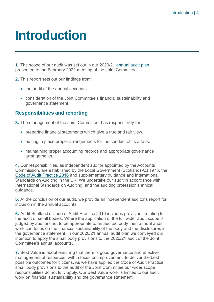### <span id="page-3-0"></span>**Introduction**

**1.** The scope of our audit was set out in our 2020/21 [annual audit plan](https://www.audit-scotland.gov.uk/uploads/docs/report/2021/aap_2021_clyde_valley_learning.pdf) presented to the February 2021 meeting of the Joint Committee.

- **2.** This report sets out our findings from:
	- the audit of the annual accounts
	- consideration of the Joint Committee's financial sustainability and governance statement.

#### **Responsibilities and reporting**

**3.** The management of the Joint Committee, has responsibility for:

- preparing financial statements which give a true and fair view.
- putting in place proper arrangements for the conduct of its affairs.
- maintaining proper accounting records and appropriate governance arrangements.

**4.** Our responsibilities, as independent auditor appointed by the Accounts Commission, are established by the Local Government (Scotland) Act 1973, the [Code of Audit Practice 2016](https://www.audit-scotland.gov.uk/report/code-of-audit-practice-2016) and supplementary guidance and International Standards on Auditing in the UK. We undertake our audit in accordance with International Standards on Auditing, and the auditing profession's ethical guidance.

**5.** At the conclusion of our audit, we provide an independent auditor's report for inclusion in the annual accounts.

**6.** Audit Scotland's Code of Audit Practice 2016 includes provisions relating to the audit of small bodies. Where the application of the full wider audit scope is judged by auditors not to be appropriate to an audited body then annual audit work can focus on the financial sustainability of the body and the disclosures in the governance statement. In our 2020/21 annual audit plan we conveyed our intention to apply the small body provisions to the 2020/21 audit of the Joint Committee's annual accounts.

**7.** Best Value is about ensuring that there is good governance and effective management of resources, with a focus on improvement, to deliver the best possible outcomes for citizens. As we have applied the Code of Audit Practice small body provisions to the audit of the Joint Committee our wider scope responsibilities do not fully apply. Our Best Value work is limited to our audit work on financial sustainability and the governance statement.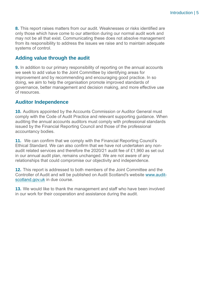**8.** This report raises matters from our audit. Weaknesses or risks identified are only those which have come to our attention during our normal audit work and may not be all that exist. Communicating these does not absolve management from its responsibility to address the issues we raise and to maintain adequate systems of control.

#### **Adding value through the audit**

**9.** In addition to our primary responsibility of reporting on the annual accounts we seek to add value to the Joint Committee by identifying areas for improvement and by recommending and encouraging good practice. In so doing, we aim to help the organisation promote improved standards of governance, better management and decision making, and more effective use of resources.

#### **Auditor Independence**

**10.** Auditors appointed by the Accounts Commission or Auditor General must comply with the Code of Audit Practice and relevant supporting guidance. When auditing the annual accounts auditors must comply with professional standards issued by the Financial Reporting Council and those of the professional accountancy bodies.

**11.** We can confirm that we comply with the Financial Reporting Council's Ethical Standard. We can also confirm that we have not undertaken any nonaudit related services and therefore the 2020/21 audit fee of £1,960 as set out in our annual audit plan, remains unchanged. We are not aware of any relationships that could compromise our objectivity and independence.

**12.** This report is addressed to both members of the Joint Committee and the Controller of Audit and will be published on Audit Scotland's website [www.audit](http://www.audit-scotland.gov.uk/)[scotland.gov.uk](http://www.audit-scotland.gov.uk/) in due course.

**13.** We would like to thank the management and staff who have been involved in our work for their cooperation and assistance during the audit.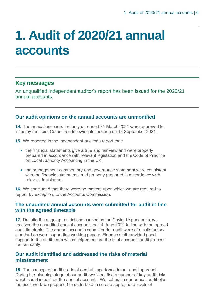# <span id="page-5-0"></span>**1. Audit of 2020/21 annual accounts**

#### **Key messages**

An unqualified independent auditor's report has been issued for the 2020/21 annual accounts.

#### **Our audit opinions on the annual accounts are unmodified**

**14.** The annual accounts for the year ended 31 March 2021 were approved for issue by the Joint Committee following its meeting on 13 September 2021.

**15.** We reported in the independent auditor's report that:

- the financial statements give a true and fair view and were properly prepared in accordance with relevant legislation and the Code of Practice on Local Authority Accounting in the UK.
- the management commentary and governance statement were consistent with the financial statements and properly prepared in accordance with relevant legislation.

**16.** We concluded that there were no matters upon which we are required to report, by exception, to the Accounts Commission.

#### **The unaudited annual accounts were submitted for audit in line with the agreed timetable**

**17.** Despite the ongoing restrictions caused by the Covid-19 pandemic, we received the unaudited annual accounts on 14 June 2021 in line with the agreed audit timetable. The annual accounts submitted for audit were of a satisfactory standard as were supporting working papers. Finance staff provided good support to the audit team which helped ensure the final accounts audit process ran smoothly.

#### **Our audit identified and addressed the risks of material misstatement**

**18.** The concept of audit risk is of central importance to our audit approach. During the planning stage of our audit, we identified a number of key audit risks which could impact on the annual accounts. We set out in our annual audit plan the audit work we proposed to undertake to secure appropriate levels of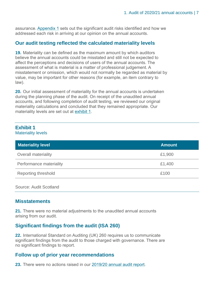assurance. [Appendix 1](#page-10-0) sets out the significant audit risks identified and how we addressed each risk in arriving at our opinion on the annual accounts.

#### **Our audit testing reflected the calculated materiality levels**

**19.** Materiality can be defined as the maximum amount by which auditors believe the annual accounts could be misstated and still not be expected to affect the perceptions and decisions of users of the annual accounts. The assessment of what is material is a matter of professional judgement. A misstatement or omission, which would not normally be regarded as material by value, may be important for other reasons (for example, an item contrary to law).

**20.** Our initial assessment of materiality for the annual accounts is undertaken during the planning phase of the audit. On receipt of the unaudited annual accounts, and following completion of audit testing, we reviewed our original materiality calculations and concluded that they remained appropriate. Our materiality levels are set out at [exhibit 1.](#page-12-0)

### **Exhibit 1**

Materiality levels

| <b>Materiality level</b>   | <b>Amount</b> |
|----------------------------|---------------|
| Overall materiality        | £1,900        |
| Performance materiality    | £1,400        |
| <b>Reporting threshold</b> | £100          |

Source: Audit Scotland

#### **Misstatements**

**21.** There were no material adjustments to the unaudited annual accounts arising from our audit.

#### **Significant findings from the audit (ISA 260)**

**22.** International Standard on Auditing (UK) 260 requires us to communicate significant findings from the audit to those charged with governance. There are no significant findings to report.

#### **Follow up of prior year recommendations**

**23.** There were no actions raised in our [2019/20 annual audit report.](https://www.audit-scotland.gov.uk/report/clyde-valley-learning-and-development-joint-committee-annual-audit-201920)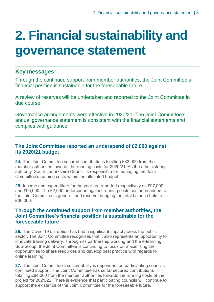# <span id="page-7-0"></span>**2. Financial sustainability and governance statement**

#### **Key messages**

Through the continued support from member authorities, the Joint Committee's financial position is sustainable for the foreseeable future.

A review of reserves will be undertaken and reported to the Joint Committee in due course.

Governance arrangements were effective in 2020/21. The Joint Committee's annual governance statement is consistent with the financial statements and complies with guidance.

#### **The Joint Committee reported an underspend of £2,000 against its 2020/21 budget**

**24.** The Joint Committee secured contributions totalling £83,000 from the member authorities towards the running costs for 2020/21. As the administering authority, South Lanarkshire Council is responsible for managing the Joint Committee's running costs within the allocated budget.

**25.** Income and expenditure for the year are reported respectively as £97,000 and £95,000. The £2,000 underspend against running costs has been added to the Joint Committee's general fund reserve, bringing the total balance held to £30,000.

#### **Through the continued support from member authorities, the Joint Committee's financial position is sustainable for the foreseeable future**

**26.** The Covid-19 disruption has had a significant impact across the public sector. The Joint Committee recognises that it also represents an opportunity to innovate training delivery. Through its partnership working and the e-learning Sub-Group, the Joint Committee is continuing to focus on maximising the opportunities to share resources and develop best practice with regards to online learning.

**27.** The Joint Committee's sustainability is dependent on participating councils' continued support. The Joint Committee has so far secured contributions totalling £84,000 from the member authorities towards the running costs of the project for 2021/22. There is evidence that participating councils will continue to support the existence of the Joint Committee for the foreseeable future.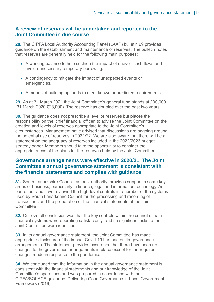#### **A review of reserves will be undertaken and reported to the Joint Committee in due course**

**28.** The CIPFA Local Authority Accounting Panel (LAAP) bulletin 99 provides guidance on the establishment and maintenance of reserves. The bulletin notes that reserves are generally held for the following main purposes:

- A working balance to help cushion the impact of uneven cash flows and avoid unnecessary temporary borrowing.
- A contingency to mitigate the impact of unexpected events or emergencies.
- A means of building up funds to meet known or predicted requirements.

**29.** As at 31 March 2021 the Joint Committee's general fund stands at £30,000 (31 March 2020 £28,000). The reserve has doubled over the past two years.

**30.** The guidance does not prescribe a level of reserves but places the responsibility on the 'chief financial officer' to advise the Joint Committee on the creation and levels of reserves appropriate to the Joint Committee's circumstances. Management have advised that discussions are ongoing around the potential use of reserves in 2021/22. We are also aware that there will be a statement on the adequacy of reserves included in the 2022/2023 budget strategy paper. Members should take the opportunity to consider the appropriateness of the plans for the reserves held by the Joint Committee.

#### **Governance arrangements were effective in 2020/21. The Joint Committee's annual governance statement is consistent with the financial statements and complies with guidance**

**31.** South Lanarkshire Council, as host authority, provides support in some key areas of business, particularly in finance, legal and information technology. As part of our audit, we reviewed the high-level controls in a number of the systems used by South Lanarkshire Council for the processing and recording of transactions and the preparation of the financial statements of the Joint **Committee** 

**32.** Our overall conclusion was that the key controls within the council's main financial systems were operating satisfactorily, and no significant risks to the Joint Committee were identified.

**33.** In its annual governance statement, the Joint Committee has made appropriate disclosure of the impact Covid-19 has had on its governance arrangements. The statement provides assurance that there have been no changes to the governance arrangements in place except for the required changes made in response to the pandemic.

**34.** We concluded that the information in the annual governance statement is consistent with the financial statements and our knowledge of the Joint Committee's operations and was prepared in accordance with the CIPFA/SOLACE guidance: Delivering Good Governance in Local Government: Framework (2016).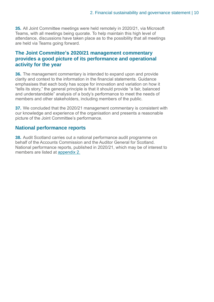**35.** All Joint Committee meetings were held remotely in 2020/21, via Microsoft Teams, with all meetings being quorate. To help maintain this high level of attendance, discussions have taken place as to the possibility that all meetings are held via Teams going forward.

#### **The Joint Committee's 2020/21 management commentary provides a good picture of its performance and operational activity for the year**

**36.** The management commentary is intended to expand upon and provide clarity and context to the information in the financial statements. Guidance emphasises that each body has scope for innovation and variation on how it "tells its story," the general principle is that it should provide "a fair, balanced and understandable" analysis of a body's performance to meet the needs of members and other stakeholders, including members of the public.

**37.** We concluded that the 2020/21 management commentary is consistent with our knowledge and experience of the organisation and presents a reasonable picture of the Joint Committee's performance.

#### **National performance reports**

**38.** Audit Scotland carries out a national performance audit programme on behalf of the Accounts Commission and the Auditor General for Scotland. National performance reports, published in 2020/21, which may be of interest to members are listed at [appendix 2.](#page-12-0)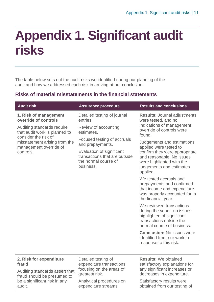# <span id="page-10-0"></span>**Appendix 1. Significant audit risks**

The table below sets out the audit risks we identified during our planning of the audit and how we addressed each risk in arriving at our conclusion.

#### **Risks of material misstatements in the financial statements**

| <b>Audit risk</b>                                                                                                                                                                                            | <b>Assurance procedure</b>                                                                                                                                                                     | <b>Results and conclusions</b>                                                                                                                                                                                                                       |
|--------------------------------------------------------------------------------------------------------------------------------------------------------------------------------------------------------------|------------------------------------------------------------------------------------------------------------------------------------------------------------------------------------------------|------------------------------------------------------------------------------------------------------------------------------------------------------------------------------------------------------------------------------------------------------|
| 1. Risk of management<br>override of controls<br>Auditing standards require<br>that audit work is planned to<br>consider the risk of<br>misstatement arising from the<br>management override of<br>controls. | Detailed testing of journal<br>entries.<br>Review of accounting<br>estimates.<br>Focused testing of accruals<br>and prepayments.<br>Evaluation of significant<br>transactions that are outside | <b>Results: Journal adjustments</b><br>were tested, and no<br>indications of management<br>override of controls were<br>found.<br>Judgements and estimations<br>applied were tested to<br>confirm they were appropriate<br>and reasonable. No issues |
|                                                                                                                                                                                                              | the normal course of<br>business.                                                                                                                                                              | were highlighted with the<br>judgements and estimates<br>applied.                                                                                                                                                                                    |
|                                                                                                                                                                                                              |                                                                                                                                                                                                | We tested accruals and<br>prepayments and confirmed<br>that income and expenditure<br>was properly accounted for in<br>the financial year.                                                                                                           |
|                                                                                                                                                                                                              |                                                                                                                                                                                                | We reviewed transactions<br>during the year $-$ no issues<br>highlighted of significant<br>transactions outside the<br>normal course of business.                                                                                                    |
|                                                                                                                                                                                                              |                                                                                                                                                                                                | <b>Conclusion: No issues were</b><br>identified from our work in<br>response to this risk.                                                                                                                                                           |
| 2. Risk for expenditure<br>fraud                                                                                                                                                                             | Detailed testing of<br>expenditure transactions                                                                                                                                                | <b>Results: We obtained</b><br>satisfactory explanations for                                                                                                                                                                                         |
| Auditing standards assert that<br>froud chould he procumed to                                                                                                                                                | focusing on the areas of<br>greatest risk.                                                                                                                                                     | any significant increases or<br>decreases in expenditure.                                                                                                                                                                                            |

fraud should be presumed to be a significant risk in any audit.

Analytical procedures on expenditure streams.

decreases in expenditure. Satisfactory results were

obtained from our testing of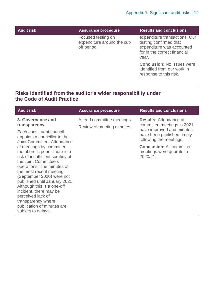| <b>Audit risk</b> | <b>Assurance procedure</b>                                       | <b>Results and conclusions</b>                                                                                                |
|-------------------|------------------------------------------------------------------|-------------------------------------------------------------------------------------------------------------------------------|
|                   | Focused testing on<br>expenditure around the cut-<br>off period. | expenditure transactions. Our<br>testing confirmed that<br>expenditure was accounted<br>for in the correct financial<br>year. |
|                   |                                                                  | <b>Conclusion: No issues were</b><br>identified from our work in<br>response to this risk.                                    |

#### **Risks identified from the auditor's wider responsibility under the Code of Audit Practice**

| <b>Audit risk</b>                                                                                                                                                                                                                                                                                                                                                                                  | <b>Assurance procedure</b>                               | <b>Results and conclusions</b>                                                                                                                    |
|----------------------------------------------------------------------------------------------------------------------------------------------------------------------------------------------------------------------------------------------------------------------------------------------------------------------------------------------------------------------------------------------------|----------------------------------------------------------|---------------------------------------------------------------------------------------------------------------------------------------------------|
| 3. Governance and<br>transparency<br>Each constituent council                                                                                                                                                                                                                                                                                                                                      | Attend committee meetings.<br>Review of meeting minutes. | <b>Results: Attendance at</b><br>committee meetings in 2021<br>have improved and minutes<br>have been published timely<br>following the meetings. |
| appoints a councillor to the<br>Joint Committee, Attendance                                                                                                                                                                                                                                                                                                                                        |                                                          |                                                                                                                                                   |
| at meetings by committee<br>members is poor. There is a<br>risk of insufficient scrutiny of<br>the Joint Committee's<br>operations. The minutes of<br>the most recent meeting<br>(September 2020) were not<br>published until January 2021.<br>Although this is a one-off<br>incident, there may be<br>perceived lack of<br>transparency where<br>publication of minutes are<br>subject to delays. |                                                          | <b>Conclusion: All committee</b><br>meetings were quorate in<br>2020/21.                                                                          |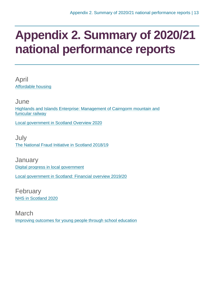### <span id="page-12-0"></span>**Appendix 2. Summary of 2020/21 national performance reports**

April [Affordable housing](https://www.audit-scotland.gov.uk/report/affordable-housing)

June [Highlands and Islands Enterprise: Management of Cairngorm mountain and](https://www.audit-scotland.gov.uk/report/highlands-and-islands-enterprise-management-of-cairngorm-mountain-and-funicular-railway)  [funicular railway](https://www.audit-scotland.gov.uk/report/highlands-and-islands-enterprise-management-of-cairngorm-mountain-and-funicular-railway)

[Local government in Scotland Overview 2020](https://www.audit-scotland.gov.uk/report/local-government-in-scotland-overview-2020)

July [The National Fraud Initiative in Scotland 2018/19](https://www.audit-scotland.gov.uk/report/the-national-fraud-initiative-in-scotland-201819)

**January** [Digital progress in local government](https://www.audit-scotland.gov.uk/report/digital-progress-in-local-government) [Local government in Scotland: Financial overview 2019/20](https://www.audit-scotland.gov.uk/report/local-government-in-scotland-financial-overview-201920)

February [NHS in Scotland 2020](https://www.audit-scotland.gov.uk/report/nhs-in-scotland-2020)

March [Improving outcomes for young people through school education](https://www.audit-scotland.gov.uk/report/improving-outcomes-for-young-people-through-school-education)